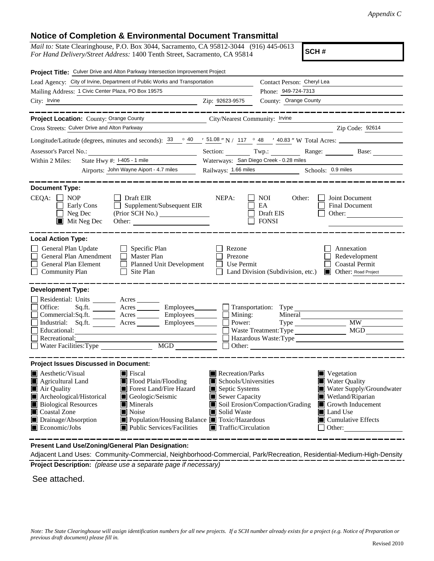## **Notice of Completion & Environmental Document Transmittal**

*Mail to:* State Clearinghouse, P.O. Box 3044, Sacramento, CA 95812-3044 (916) 445-0613 *For Hand Delivery/Street Address:* 1400 Tenth Street, Sacramento, CA 95814

**SCH #**

| Project Title: Culver Drive and Alton Parkway Intersection Improvement Project                                                                                                                                                                                                                                                                                                                              |                                                                                                                                   |                                                                                                                                                                                                                                      |
|-------------------------------------------------------------------------------------------------------------------------------------------------------------------------------------------------------------------------------------------------------------------------------------------------------------------------------------------------------------------------------------------------------------|-----------------------------------------------------------------------------------------------------------------------------------|--------------------------------------------------------------------------------------------------------------------------------------------------------------------------------------------------------------------------------------|
| Lead Agency: City of Irvine, Department of Public Works and Transportation                                                                                                                                                                                                                                                                                                                                  | Contact Person: Cheryl Lea                                                                                                        |                                                                                                                                                                                                                                      |
| Mailing Address: 1 Civic Center Plaza, PO Box 19575                                                                                                                                                                                                                                                                                                                                                         |                                                                                                                                   | Phone: 949-724-7313                                                                                                                                                                                                                  |
| City: Irvine                                                                                                                                                                                                                                                                                                                                                                                                | Zip: 92623-9575                                                                                                                   | County: Orange County                                                                                                                                                                                                                |
| Project Location: County: Orange County<br>Cross Streets: Culver Drive and Alton Parkway                                                                                                                                                                                                                                                                                                                    | City/Nearest Community: Irvine                                                                                                    | Zip Code: 92614                                                                                                                                                                                                                      |
| Longitude/Latitude (degrees, minutes and seconds): $\frac{33}{9}$ $\frac{40}{9}$ $\frac{151.08}{9}$ N / 117 $\degree$ 48 $\degree$ 40.83 " W Total Acres:                                                                                                                                                                                                                                                   |                                                                                                                                   |                                                                                                                                                                                                                                      |
|                                                                                                                                                                                                                                                                                                                                                                                                             |                                                                                                                                   | Section: Twp.: Range: Base:                                                                                                                                                                                                          |
| State Hwy #: I-405 - 1 mile<br>Within 2 Miles:                                                                                                                                                                                                                                                                                                                                                              |                                                                                                                                   | Waterways: San Diego Creek - 0.28 miles                                                                                                                                                                                              |
| Airports: John Wayne Aiport - 4.7 miles                                                                                                                                                                                                                                                                                                                                                                     | Railways: 1.66 miles                                                                                                              | Schools: 0.9 miles                                                                                                                                                                                                                   |
|                                                                                                                                                                                                                                                                                                                                                                                                             |                                                                                                                                   |                                                                                                                                                                                                                                      |
| <b>Document Type:</b><br>$CEQA: \Box$<br><b>NOP</b><br>Draft EIR<br>Supplement/Subsequent EIR<br>Early Cons<br>$\perp$<br>$\Box$ Neg Dec<br>$\blacksquare$ Mit Neg Dec                                                                                                                                                                                                                                      | NEPA:                                                                                                                             | NOI<br>Joint Document<br>Other:<br>EA<br><b>Final Document</b><br>Draft EIS<br>Other:<br><b>FONSI</b>                                                                                                                                |
| <b>Local Action Type:</b>                                                                                                                                                                                                                                                                                                                                                                                   |                                                                                                                                   |                                                                                                                                                                                                                                      |
| General Plan Update<br>$\Box$ Specific Plan<br>General Plan Amendment<br>$\Box$ Master Plan<br>General Plan Element<br>Planned Unit Development<br>Site Plan<br><b>Community Plan</b><br>$\mathsf{L}$                                                                                                                                                                                                       | Rezone<br>Prezone<br>Use Permit                                                                                                   | Annexation<br>Redevelopment<br><b>Coastal Permit</b><br>Land Division (Subdivision, etc.)<br><b>Other: Road Project</b>                                                                                                              |
| <b>Development Type:</b><br>Residential: Units ________ Acres _______<br>Office:<br>Sq.fit.<br>Employees________<br>Commercial:Sq.ft. _________ Acres _______<br>Industrial: Sq.ft. _______ Acres ______<br>Educational:<br>Recreational:<br>Water Facilities: Type<br>$\overline{MGD}$                                                                                                                     | Mining:<br>Power:                                                                                                                 | $\Box$ Transportation: Type<br>Mineral<br><b>MW</b><br>MGD<br>Hazardous Waste:Type<br>Other:                                                                                                                                         |
| <b>Project Issues Discussed in Document:</b>                                                                                                                                                                                                                                                                                                                                                                |                                                                                                                                   |                                                                                                                                                                                                                                      |
| Aesthetic/Visual<br>$\blacksquare$ Fiscal<br>Flood Plain/Flooding<br>Agricultural Land<br>Air Quality<br>Forest Land/Fire Hazard<br>Archeological/Historical<br>Geologic/Seismic<br><b>Biological Resources</b><br><b>Minerals</b><br>Coastal Zone<br><b>■</b> Noise<br>Drainage/Absorption<br>Population/Housing Balance ■ Toxic/Hazardous<br>$\blacksquare$ Economic/Jobs<br>■ Public Services/Facilities | Recreation/Parks<br>Schools/Universities<br>Septic Systems<br>Sewer Capacity<br>Solid Waste<br>$\blacksquare$ Traffic/Circulation | $\blacksquare$ Vegetation<br><b>Water Quality</b><br>Water Supply/Groundwater<br>Wetland/Riparian<br>Soil Erosion/Compaction/Grading<br>$\Box$ Growth Inducement<br><b>■</b> Land Use<br>$\blacksquare$ Cumulative Effects<br>Other: |

**Present Land Use/Zoning/General Plan Designation:**

**Project Description:** *(please use a separate page if necessary)* Adjacent Land Uses: Community-Commercial, Neighborhood-Commercial, Park/Recreation, Residential-Medium-High-Density

See attached.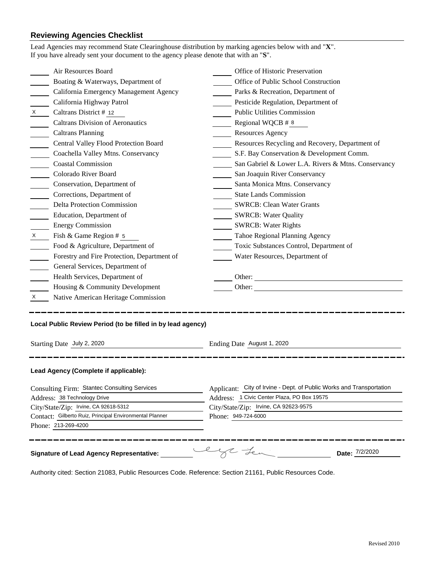## **Reviewing Agencies Checklist**<br>Lead Agencies may recommend State Cl

|                                                                                                                         | Lead Agencies may recommend State Clearinghouse distribution by marking agencies below with and "X".<br>If you have already sent your document to the agency please denote that with an "S". |                                                                      |  |
|-------------------------------------------------------------------------------------------------------------------------|----------------------------------------------------------------------------------------------------------------------------------------------------------------------------------------------|----------------------------------------------------------------------|--|
|                                                                                                                         | Air Resources Board                                                                                                                                                                          | Office of Historic Preservation                                      |  |
|                                                                                                                         | Boating & Waterways, Department of                                                                                                                                                           | Office of Public School Construction                                 |  |
|                                                                                                                         | California Emergency Management Agency                                                                                                                                                       | Parks & Recreation, Department of                                    |  |
|                                                                                                                         | California Highway Patrol                                                                                                                                                                    | Pesticide Regulation, Department of                                  |  |
| $x \sim$                                                                                                                | Caltrans District # 12                                                                                                                                                                       | <b>Public Utilities Commission</b>                                   |  |
|                                                                                                                         | <b>Caltrans Division of Aeronautics</b>                                                                                                                                                      | Regional WQCB # 8                                                    |  |
|                                                                                                                         | <b>Caltrans Planning</b>                                                                                                                                                                     | <b>Resources Agency</b>                                              |  |
|                                                                                                                         | Central Valley Flood Protection Board                                                                                                                                                        | Resources Recycling and Recovery, Department of                      |  |
|                                                                                                                         | Coachella Valley Mtns. Conservancy                                                                                                                                                           | S.F. Bay Conservation & Development Comm.                            |  |
|                                                                                                                         | <b>Coastal Commission</b>                                                                                                                                                                    | San Gabriel & Lower L.A. Rivers & Mtns. Conservancy                  |  |
|                                                                                                                         | Colorado River Board                                                                                                                                                                         | San Joaquin River Conservancy                                        |  |
|                                                                                                                         | Conservation, Department of                                                                                                                                                                  | Santa Monica Mtns. Conservancy                                       |  |
|                                                                                                                         | Corrections, Department of                                                                                                                                                                   | <b>State Lands Commission</b>                                        |  |
|                                                                                                                         | <b>Delta Protection Commission</b>                                                                                                                                                           | <b>SWRCB: Clean Water Grants</b>                                     |  |
|                                                                                                                         | Education, Department of                                                                                                                                                                     | <b>SWRCB: Water Quality</b>                                          |  |
|                                                                                                                         | <b>Energy Commission</b>                                                                                                                                                                     | <b>SWRCB: Water Rights</b>                                           |  |
| $\mathsf{X}$                                                                                                            | Fish & Game Region # 5                                                                                                                                                                       | Tahoe Regional Planning Agency                                       |  |
|                                                                                                                         | Food & Agriculture, Department of                                                                                                                                                            | Toxic Substances Control, Department of                              |  |
|                                                                                                                         | Forestry and Fire Protection, Department of                                                                                                                                                  | Water Resources, Department of                                       |  |
|                                                                                                                         | General Services, Department of                                                                                                                                                              |                                                                      |  |
|                                                                                                                         | Health Services, Department of                                                                                                                                                               |                                                                      |  |
|                                                                                                                         | Housing & Community Development                                                                                                                                                              |                                                                      |  |
| $X \sim$                                                                                                                | Native American Heritage Commission                                                                                                                                                          |                                                                      |  |
| Local Public Review Period (to be filled in by lead agency)<br>Starting Date July 2, 2020<br>Ending Date August 1, 2020 |                                                                                                                                                                                              |                                                                      |  |
|                                                                                                                         | Lead Agency (Complete if applicable):                                                                                                                                                        |                                                                      |  |
| Consulting Firm: Stantec Consulting Services                                                                            |                                                                                                                                                                                              | Applicant: City of Irvine - Dept. of Public Works and Transportation |  |
| Address: 38 Technology Drive                                                                                            |                                                                                                                                                                                              | Address: 1 Civic Center Plaza, PO Box 19575                          |  |
| City/State/Zip: Irvine, CA 92618-5312                                                                                   |                                                                                                                                                                                              | City/State/Zip: Irvine, CA 92623-9575                                |  |
| Contact: Gilberto Ruiz, Principal Environmental Planner                                                                 |                                                                                                                                                                                              | Phone: 949-724-6000                                                  |  |
|                                                                                                                         | Phone: 213-269-4200                                                                                                                                                                          |                                                                      |  |
|                                                                                                                         | <b>Signature of Lead Agency Representative:</b>                                                                                                                                              | lys team<br>Date: 7/2/2020                                           |  |

Authority cited: Section 21083, Public Resources Code. Reference: Section 21161, Public Resources Code.